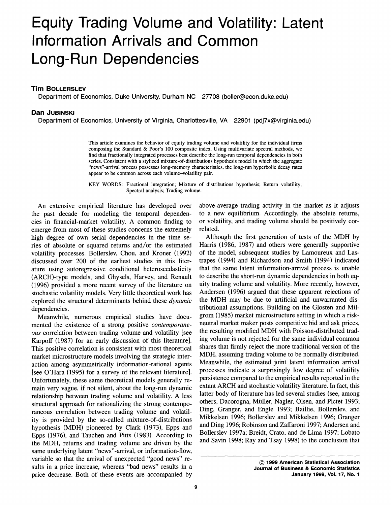# **Equity Trading Volume and Volatility: Latent Information Arrivals and Common Long-Run Dependencies**

## **Tim BOLLERSLEV**

**Department of Economics, Duke University, Durham NC 27708 (boller@econ.duke.edu)** 

## **Dan JUBINSKI**

**Department of Economics, University of Virginia, Charlottesville, VA 22901 (pdj7x@virginia.edu)** 

**This article examines the behavior of equity trading volume and volatility for the individual firms composing the Standard & Poor's 100 composite index. Using multivariate spectral methods, we find that fractionally integrated processes best describe the long-run temporal dependencies in both series. Consistent with a stylized mixture-of-distributions hypothesis model in which the aggregate "news"-arrival process possesses long-memory characteristics, the long-run hyperbolic decay rates appear to be common across each volume-volatility pair.** 

**KEY WORDS: Fractional integration; Mixture of distributions hypothesis; Return volatility; Spectral analysis; Trading volume.** 

**An extensive empirical literature has developed over the past decade for modeling the temporal dependencies in financial-market volatility. A common finding to emerge from most of these studies concerns the extremely high degree of own serial dependencies in the time series of absolute or squared returns and/or the estimated volatility processes. Bollerslev, Chou, and Kroner (1992) discussed over 200 of the earliest studies in this literature using autoregressive conditional heteroscedasticity (ARCH)-type models, and Ghysels, Harvey, and Renault (1996) provided a more recent survey of the literature on stochastic volatility models. Very little theoretical work has explored the structural determinants behind these dynamic dependencies.** 

**Meanwhile, numerous empirical studies have documented the existence of a strong positive contemporaneous correlation between trading volume and volatility [see Karpoff (1987) for an early discussion of this literature]. This positive correlation is consistent with most theoretical market microstructure models involving the strategic interaction among asymmetrically information-rational agents [see O'Hara (1995) for a survey of the relevant literature]. Unfortunately, these same theoretical models generally remain very vague, if not silent, about the long-run dynamic relationship between trading volume and volatility. A less structural approach for rationalizing the strong contemporaneous correlation between trading volume and volatility is provided by the so-called mixture-of-distributions hypothesis (MDH) pioneered by Clark (1973), Epps and Epps (1976), and Tauchen and Pitts (1983). According to the MDH, returns and trading volume are driven by the same underlying latent "news"-arrival, or information-flow, variable so that the arrival of unexpected "good news" results in a price increase, whereas "bad news" results in a price decrease. Both of these events are accompanied by** 

**above-average trading activity in the market as it adjusts to a new equilibrium. Accordingly, the absolute returns, or volatility, and trading volume should be positively correlated.** 

**Although the first generation of tests of the MDH by Harris (1986, 1987) and others were generally supportive of the model, subsequent studies by Lamoureux and Lastrapes (1994) and Richardson and Smith (1994) indicated that the same latent information-arrival process is unable to describe the short-run dynamic dependencies in both equity trading volume and volatility. More recently, however, Andersen (1996) argued that these apparent rejections of the MDH may be due to artificial and unwarranted distributional assumptions. Building on the Glosten and Milgrom (1985) market microstructure setting in which a riskneutral market maker posts competitive bid and ask prices, the resulting modified MDH with Poisson-distributed trading volume is not rejected for the same individual common shares that firmly reject the more traditional version of the MDH, assuming trading volume to be normally distributed. Meanwhile, the estimated joint latent information arrival processes indicate a surprisingly low degree of volatility persistence compared to the empirical results reported in the extant ARCH and stochastic volatility literature. In fact, this latter body of literature has led several studies (see, among others, Dacorogna, Miiller, Nagler, Olsen, and Pictet 1993; Ding, Granger, and Engle 1993; Baillie, Bollerslev, and Mikkelsen 1996; Bollerslev and Mikkelsen 1996; Granger and Ding 1996; Robinson and Zaffaroni 1997; Andersen and Bollerslev 1997a; Breidt, Crato, and de Lima 1997; Lobato and Savin 1998; Ray and Tsay 1998) to the conclusion that** 

**<sup>?</sup> 1999 American Statistical Association Journal of Business & Economic Statistics January 1999, Vol. 17, No. 1**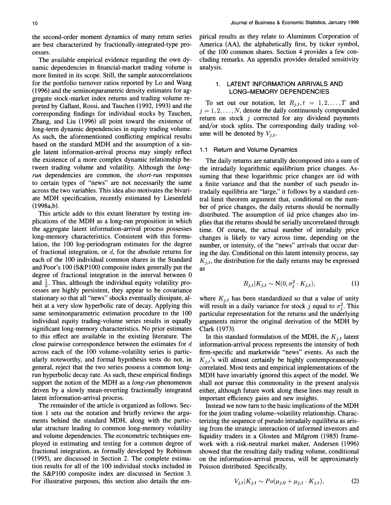**the second-order moment dynamics of many return series**  are best characterized by fractionally-integrated-type pro**cesses.** 

**The available empirical evidence regarding the own dynamic dependencies in financial-market trading volume is more limited in its scope. Still, the sample autocorrelations for the portfolio turnover ratios reported by Lo and Wang (1996) and the seminonparametric density estimates for aggregate stock-market index returns and trading volume reported by Gallant, Rossi, and Tauchen (1992, 1993) and the corresponding findings for individual stocks by Tauchen, Zhang, and Liu (1996) all point toward the existence of long-term dynamic dependencies in equity trading volume. As such, the aforementioned conflicting empirical results based on the standard MDH and the assumption of a single latent information-arrival process may simply reflect the existence of a more complex dynamic relationship between trading volume and volatility. Although the longrun dependencies are common, the short-run responses to certain types of "news" are not necessarily the same across the two variables. This idea also motivates the bivariate MDH specification, recently estimated by Liesenfeld (1998a,b).** 

**This article adds to this extant literature by testing implications of the MDH as a long-run proposition in which the aggregate latent information-arrival process possesses long-memory characteristics. Consistent with this formulation, the 100 log-periodogram estimates for the degree of fractional integration, or d, for the absolute returns for each of the 100 individual common shares in the Standard and Poor's 100 (S&P100) composite index generally put the degree of fractional integration in the interval between 0**  and  $\frac{1}{2}$ . Thus, although the individual equity volatility pro**cesses are highly persistent, they appear to be covariance stationary so that all "news" shocks eventually dissipate, albeit at a very slow hyperbolic rate of decay. Applying this same seminonparametric estimation procedure to the 100 individual equity trading-volume series results in equally significant long-memory characteristics. No prior estimates to this effect are available in the existing literature. The close pairwise correspondence between the estimates for d across each of the 100 volume-volatility series is particularly noteworthy, and formal hypothesis tests do not, in general, reject that the two series possess a common longrun hyperbolic decay rate. As such, these empirical findings support the notion of the MDH as a long-run phenomenon driven by a slowly mean-reverting fractionally integrated latent information-arrival process.** 

**The remainder of the article is organized as follows. Section 1 sets out the notation and briefly reviews the arguments behind the standard MDH, along with the particular structure leading to common long-memory volatility and volume dependencies. The econometric techniques employed in estimating and testing for a common degree of fractional integration, as formally developed by Robinson (1995), are discussed in Section 2. The complete estimation results for all of the 100 individual stocks included in the S&P100 composite index are discussed in Section 3. For illustrative purposes, this section also details the em-** **pirical results as they relate to Aluminum Corporation of America (AA), the alphabetically first, by ticker symbol, of the 100 common shares. Section 4 provides a few concluding remarks. An appendix provides detailed sensitivity analysis.** 

## **1. LATENT INFORMATION ARRIVALS AND LONG-MEMORY DEPENDENCIES**

To set out our notation, let  $R_{j,t}$ ,  $t = 1, 2, \ldots, T$  and  $j = 1, 2, \ldots, N$ , denote the daily continuously compounded **return on stock j corrected for any dividend payments and/or stock splits. The corresponding daily trading vol**ume will be denoted by  $V_{j,t}$ .

### **1.1 Return and Volume Dynamics**

**The daily returns are naturally decomposed into a sum of the intradaily logarithmic equilibrium price changes. Assuming that these logarithmic price changes are iid with a finite variance and that the number of such pseudo intradaily equilibria are "large," it follows by a standard central limit theorem argument that, conditional on the number of price changes, the daily returns should be normally distributed. The assumption of iid price changes also implies that the returns should be serially uncorrelated through time. Of course, the actual number of intradaily price changes is likely to vary across time, depending on the number, or intensity, of the "news" arrivals that occur during the day. Conditional on this latent intensity process, say**   $K_{j,t}$ , the distribution for the daily returns may be expressed **as** 

$$
R_{j,t}|K_{j,t} \sim \mathcal{N}(0, \sigma_j^2 \cdot K_{j,t}),\tag{1}
$$

where  $K_{j,t}$  has been standardized so that a value of unity will result in a daily variance for stock j equal to  $\sigma_i^2$ . This particular representation for the returns and the underlying **arguments mirror the original derivation of the MDH by Clark (1973).** 

In this standard formulation of the MDH, the  $K_{j,t}$  latent **information-arrival process represents the intensity of both firm-specific and marketwide "news" events. As such the Kj,t's will almost certainly be highly contemporaneously correlated. Most tests and empirical implementations of the MDH have invariably ignored this aspect of the model. We shall not pursue this commonality in the present analysis either, although future work along these lines may result in important efficiency gains and new insights.** 

**Instead we now turn to the basic implications of the MDH for the joint trading volume-volatility relationship. Characterizing the sequence of pseudo intradaily equilibria as arising from the strategic interaction of informed investors and liquidity traders in a Glosten and Milgrom (1985) framework with a risk-neutral market maker, Andersen (1996) showed that the resulting daily trading volume, conditional on the information-arrival process, will be approximately Poisson distributed. Specifically,** 

$$
V_{j,t}|K_{j,t} \sim Po(\mu_{j,0} + \mu_{j,1} \cdot K_{j,t}), \tag{2}
$$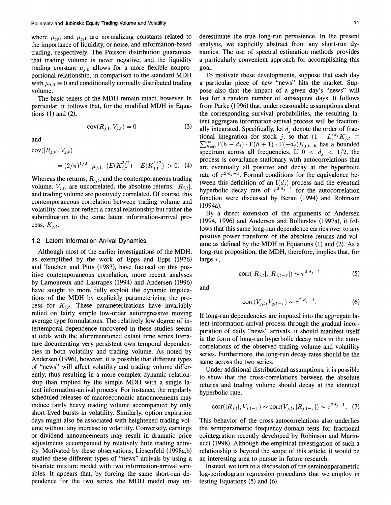where  $\mu_{i,0}$  and  $\mu_{i,1}$  are normalizing constants related to **the importance of liquidity, or noise, and information-based trading, respectively. The Poisson distribution guarantees that trading volume is never negative, and the liquidity**  trading constant  $\mu_{i,0}$  allows for a more flexible nonpro**portional relationship, in comparison to the standard MDH**  with  $\mu_{j,0} \equiv 0$  and conditionally normally distributed trading **volume.** 

**The basic tenets of the MDH remain intact, however. In particular, it follows that, for the modified MDH in Equations (1) and (2),** 

$$
cov(R_{j,t}, V_{j,t}) = 0 \tag{3}
$$

**and** 

 $cov(|R_{j,t}|, V_{j,t})$ 

$$
= (2/\pi)^{1/2} \cdot \mu_{j,1} \cdot [E(K_{j,t}^{3/2}) - E(K_{j,t}^{1/2})] > 0. \quad (4)
$$

Whereas the returns,  $R_{j,t}$ , and the contemporaneous trading volume,  $V_{i,t}$ , are uncorrelated, the absolute returns,  $|R_{i,t}|$ , **and trading volume are positively correlated. Of course, this contemporaneous correlation between trading volume and volatility does not reflect a causal relationship but rather the subordination to the same latent information-arrival pro**cess,  $K_{i,t}$ .

#### **1.2 Latent Information-Arrival Dynamics**

**Although most of the earlier investigations of the MDH, as exemplified by the work of Epps and Epps (1976) and Tauchen and Pitts (1983), have focused on this positive contemporaneous correlation, more recent analyses by Lamoureux and Lastrapes (1994) and Andersen (1996) have sought to more fully exploit the dynamic implications of the MDH by explicitly parameterizing the pro**cess for  $K_{i,t}$ . These parameterizations have invariably **relied on fairly simple low-order autoregressive moving average type formulations. The relatively low degree of intertemporal dependence uncovered in these studies seems at odds with the aforementioned extant time series literature documenting very persistent own temporal dependencies in both volatility and trading volume. As noted by Andersen (1996), however, it is possible that different types of "news" will affect volatility and trading volume differently, thus resulting in a more complex dynamic relationship than implied by the simple MDH with a single latent information-arrival process. For instance, the regularly scheduled releases of macroeconomic announcements may induce fairly heavy trading volume accompanied by only short-lived bursts in volatility. Similarly, option expiration days might also be associated with heightened trading volume without any increase in volatility. Conversely, earnings or dividend announcements may result in dramatic price adjustments accompanied by relatively little trading activity. Motivated by these observations, Liesenfeld (1998a,b) studied these different types of "news" arrivals by using a bivariate mixture model with two information-arrival variables. It appears that, by forcing the same short-run dependence for the two series, the MDH model may un-** **derestimate the true long-run persistence. In the present analysis, we explicitly abstract from any short-run dynamics. The use of spectral estimation methods provides a particularly convenient approach for accomplishing this goal.** 

**To motivate these developments, suppose that each day a particular piece of new "news" hits the market. Suppose also that the impact of a given day's "news" will last for a random number of subsequent days. It follows from Parke (1996) that, under reasonable assumptions about the corresponding survival probabilities, the resulting latent aggregate information-arrival process will be fraction**ally integrated. Specifically, let  $d_i$  denote the order of frac**tional integration for stock j, so that**  $(1 - L)^{d_j} K_{j,t} \equiv$  $\sum_{h=0}^{\infty} \Gamma(h - d_j) \cdot \Gamma(h + 1) \cdot \Gamma(-d_j) K_{j,t-h}$  has a bounded spectrum across all frequencies. If  $0 < d_i < 1/2$ , the **process is covariance stationary with autocorrelations that are eventually all positive and decay at the hyperbolic**  rate of  $\tau^{2 \cdot d_j - 1}$ . Formal conditions for the equivalence between this definition of an  $I(d_j)$  process and the eventual hyperbolic decay rate of  $\tau^{2d_3-1}$  for the autocorrelation **function were discussed by Beran (1994) and Robinson (1994a).** 

**By a direct extension of the arguments of Andersen (1994, 1996) and Andersen and Bollerslev (1997a), it follows that this same long-run dependence carries over to any positive power transform of the absolute returns and volume as defined by the MDH in Equations (1) and (2). As a long-run proposition, the MDH, therefore, implies that, for**  large  $\tau$ ,

$$
corr(|R_{j,t}|, |R_{j,t-\tau}|) \sim \tau^{2 \cdot d_j - 1}
$$
 (5)

**and** 

$$
corr(V_{j,t}, V_{j,t-\tau}) \sim \tau^{2 \cdot d_j - 1}.
$$
 (6)

**If long-run dependencies are imputed into the aggregate latent information-arrival process through the gradual incorporation of daily "news" arrivals, it should manifest itself in the form of long-run hyperbolic decay rates in the autocorrelations of the observed trading volume and volatility series. Furthermore, the long-run decay rates should be the same across the two series.** 

**Under additional distributional assumptions, it is possible to show that the cross-correlations between the absolute returns and trading volume should decay at the identical hyperbolic rate,** 

$$
corr(|R_{j,t}|, V_{j,t-\tau}) \sim corr(V_{j,t}, |R_{j,t-\tau}|) \sim \tau^{2d_j - 1}.
$$
 (7)

**This behavior of the cross-autocorrelations also underlies the semiparametric frequency-domain tests for fractional cointegration recently developed by Robinson and Marinucci (1998). Although the empirical investigation of such a relationship is beyond the scope of this article, it would be an interesting area to pursue in future research.** 

**Instead, we turn to a discussion of the seminonparametric log-periodogram regression procedures that we employ in testing Equations (5) and (6).**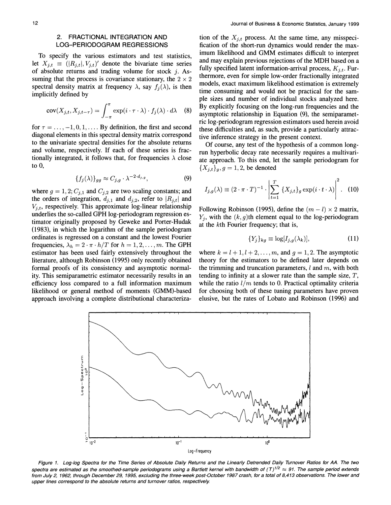## **2. FRACTIONAL INTEGRATION AND LOG-PERIODOGRAM REGRESSIONS**

**To specify the various estimators and test statistics,**  let  $X_{j,t} \equiv (|R_{j,t}|, V_{j,t})'$  denote the bivariate time series **of absolute returns and trading volume for stock j. As**suming that the process is covariance stationary, the  $2 \times 2$ spectral density matrix at frequency  $\lambda$ , say  $f_i(\lambda)$ , is then **implicitly defined by** 

$$
cov(X_{j,t}, X_{j,t-\tau}) = \int_{-\pi}^{\pi} exp(i \cdot \tau \cdot \lambda) \cdot f_j(\lambda) \cdot d\lambda \quad (8)
$$

for  $\tau = \ldots, -1, 0, 1, \ldots$  By definition, the first and second **diagonal elements in this spectral density matrix correspond to the univariate spectral densities for the absolute returns and volume, respectively. If each of these series is frac**tionally integrated, it follows that, for frequencies  $\lambda$  close **to 0,** 

$$
\{f_j(\lambda)\}_{gg} \approx C_{j,g} \cdot \lambda^{-2 \cdot d_{j,g}},\tag{9}
$$

where  $g = 1, 2; C_{j,1}$  and  $C_{j,2}$  are two scaling constants; and the orders of integration,  $d_{j,1}$  and  $d_{j,2}$ , refer to  $|R_{j,t}|$  and  $V_{i,t}$ , respectively. This approximate  $log$ -linear relationship **underlies the so-called GPH log-periodogram regression estimator originally proposed by Geweke and Porter-Hudak (1983), in which the logarithm of the sample periodogram ordinates is regressed on a constant and the lowest Fourier**  frequencies,  $\lambda_h = 2 \cdot \pi \cdot h/T$  for  $h = 1, 2, \ldots, m$ . The GPH **estimator has been used fairly extensively throughout the literature, although Robinson (1995) only recently obtained formal proofs of its consistency and asymptotic normality. This semiparametric estimator necessarily results in an efficiency loss compared to a full information maximum likelihood or general method of moments (GMM)-based approach involving a complete distributional characteriza-**

tion of the  $X_{i,t}$  process. At the same time, any misspeci**fication of the short-run dynamics would render the maximum likelihood and GMM estimates difficult to interpret and may explain previous rejections of the MDH based on a**  fully specified latent information-arrival process,  $K_{i,t}$ . Fur**thermore, even for simple low-order fractionally integrated models, exact maximum likelihood estimation is extremely time consuming and would not be practical for the sample sizes and number of individual stocks analyzed here. By explicitly focusing on the long-run frequencies and the asymptotic relationship in Equation (9), the semiparametric log-periodogram regression estimators used herein avoid these difficulties and, as such, provide a particularly attractive inference strategy in the present context.** 

**Of course, any test of the hypothesis of a common longrun hyperbolic decay rate necessarily requires a multivariate approach. To this end, let the sample periodogram for**   ${X_{j,t}}_g, g = 1, 2$ , be denoted

$$
I_{j,g}(\lambda) \equiv (2 \cdot \pi \cdot T)^{-1} \cdot \left| \sum_{t=1}^T \{X_{j,t}\}_g \exp(i \cdot t \cdot \lambda) \right|^2.
$$
 (10)

Following Robinson (1995), define the  $(m - l) \times 2$  matrix, **Yj, with the (k, g)th element equal to the log-periodogram at the kth Fourier frequency; that is,** 

$$
\{Y_j\}_{kg} \equiv \log[I_{j,g}(\lambda_k)],\tag{11}
$$

where  $k = l + 1, l + 2, \ldots, m$ , and  $q = 1, 2$ . The asymptotic **theory for the estimators to be defined later depends on**  the trimming and truncation parameters,  $l$  and  $m$ , with both **tending to infinity at a slower rate than the sample size, T,**  while the ratio  $l/m$  tends to 0. Practical optimality criteria **for choosing both of these tuning parameters have proven elusive, but the rates of Lobato and Robinson (1996) and** 



**Figure 1. Log-log Spectra for the Time Series of Absolute Daily Returns and the Linearly Detrended Daily Turnover Ratios for AA. The two**  spectra are estimated as the smoothed-sample periodograms using a Bartlett kernel with bandwidth of (T)<sup>1/2</sup> ≈ 91. The sample period extends **from July 2, 1962, through December 29, 1995, excluding the three-week post-October 1987 crash, for a total of 8,413 observations. The lower and upper lines correspond to the absolute returns and turnover ratios, respectively.**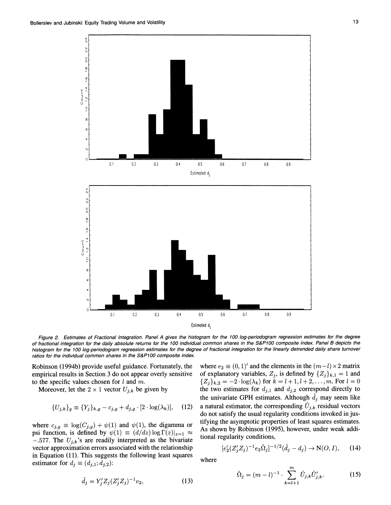

**Figure 2. Estimates of Fractional Integration. Panel A gives the histogram for the 100 log-periodogram regression estimates for the degree of fractional integration for the daily absolute returns for the 100 individual common shares in the S&P100 composite index. Panel B depicts the histogram for the 100 log-periodogram regression estimates for the degree of fractional integration for the linearly detrended daily share turnover ratios for the individual common shares in the S&P100 composite index.** 

**Robinson (1994b) provide useful guidance. Fortunately, the empirical results in Section 3 do not appear overly sensitive to the specific values chosen for 1 and m.** 

Moreover, let the  $2 \times 1$  vector  $U_{j,k}$  be given by

$$
\{U_{j,k}\}_g \equiv \{Y_j\}_{k,g} - c_{j,g} + d_{j,g} \cdot [2 \cdot \log(\lambda_k)], \quad (12)
$$

 $\hat{d}_j = Y'_i Z_j (Z'_i Z_j)^{-1} e_2,$  (13)

where  $c_{j,g} \equiv \log(C_{j,g}) + \psi(1)$  and  $\psi(1)$ , the digamma or psi function, is defined by  $\psi(1) \equiv (d/dz) \log \Gamma(z)|_{z=1} \approx$  $-.577$ . The  $U_{j,k}$ 's are readily interpreted as the bivariate **vector approximation errors associated with the relationship in Equation (11). This suggests the following least squares estimator** for  $d_j \equiv (d_{j,1}; d_{j,2})$ :

where  $e_2 \equiv (0, 1)'$  and the elements in the  $(m-l) \times 2$  matrix of explanatory variables,  $Z_j$ , is defined by  $\{Z_j\}_{k,1} = 1$  and  ${Z_i}_{k,2} = -2 \cdot \log(\lambda_k)$  for  $k = l + 1, l + 2, \ldots, m$ . For  $l = 0$ the two estimates for  $d_{j,1}$  and  $d_{j,2}$  correspond directly to the univariate GPH estimates. Although  $\hat{d}_j$  may seem like **a** natural estimator, the corresponding  $U_{j,k}$  residual vectors **do not satisfy the usual regularity conditions invoked in justifying the asymptotic properties of least squares estimates. As shown by Robinson (1995), however, under weak additional regularity conditions,** 

$$
[e'_2(Z'_j Z_j)^{-1} e_2 \hat{\Omega}_j]^{-1/2} (\hat{d}_j - d_j) \to \mathcal{N}(O, I), \qquad (14)
$$

**where** 

$$
\hat{\Omega}_j = (m-l)^{-1} \cdot \sum_{k=l+1}^m \hat{U}_{j,k} \hat{U}'_{j,k}.
$$
 (15)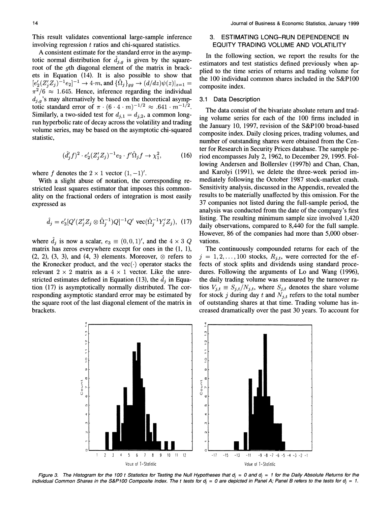**This result validates conventional large-sample inference involving regression t ratios and chi-squared statistics.** 

**A consistent estimate for the standard error in the asymp**totic normal distribution for  $\hat{d}_{j,g}$  is given by the square**root of the gth diagonal element of the matrix in brackets in Equation (14). It is also possible to show that**   $[e'_2(Z'_iZ_j)^{-1}e_2]^{-1} \to 4 \cdot m$ , and  $\{\hat{\Omega}_j\}_{gg} \to (d/dz)\psi(z)|_{z=1} =$  $\pi^2/6 \approx 1.645$ . Hence, inference regarding the individual  $d_{i,q}$ 's may alternatively be based on the theoretical asymp**totic standard error of**  $\pi \cdot (6 \cdot 4 \cdot m)^{-1/2} \approx .641 \cdot m^{-1/2}$ . Similarly, a two-sided test for  $d_{j,1} = d_{j,2}$ , a common long**run hyperbolic rate of decay across the volatility and trading volume series, may be based on the asymptotic chi-squared statistic,** 

$$
(\hat{d}'_j f)^2 \cdot e'_2 (Z'_j Z_j)^{-1} e_2 \cdot f' \hat{\Omega}_j f \to \chi_1^2, \tag{16}
$$

where  $f$  denotes the  $2 \times 1$  vector  $(1, -1)'$ .

**With a slight abuse of notation, the corresponding restricted least squares estimator that imposes this commonality on the fractional orders of integration is most easily expressed as** 

$$
\hat{d}_j = e'_3 [Q'(Z'_j Z_j \otimes \hat{\Omega}_j^{-1}) Q]^{-1} Q' \text{ vec}(\hat{\Omega}_j^{-1} Y'_j Z_j), (17)
$$

where  $\hat{d}_j$  is now a scalar,  $e_3 \equiv (0, 0, 1)$ , and the  $4 \times 3$  Q **matrix has zeros everywhere except for ones in the (1, 1),**   $(2, 2), (3, 3),$  and  $(4, 3)$  elements. Moreover,  $\otimes$  refers to the Kronecker product, and the  $vec(\cdot)$  operator stacks the relevant  $2 \times 2$  matrix as a  $4 \times 1$  vector. Like the unrestricted estimates defined in Equation (13), the  $d_i$  in Equa**tion (17) is asymptotically normally distributed. The corresponding asymptotic standard error may be estimated by the square root of the last diagonal element of the matrix in brackets.** 

## **3. ESTIMATING LONG-RUN DEPENDENCE IN EQUITY TRADING VOLUME AND VOLATILITY**

**In the following section, we report the results for the estimators and test statistics defined previously when applied to the time series of returns and trading volume for the 100 individual common shares included in the S&P100 composite index.** 

#### **3.1 Data Description**

**The data consist of the bivariate absolute return and trading volume series for each of the 100 firms included in the January 10, 1997, revision of the S&P100 broad-based composite index. Daily closing prices, trading volumes, and number of outstanding shares were obtained from the Center for Research in Security Prices database. The sample period encompasses July 2, 1962, to December 29, 1995. Following Andersen and Bollerslev (1997b) and Chan, Chan, and Karolyi (1991), we delete the three-week period immediately following the October 1987 stock-market crash. Sensitivity analysis, discussed in the Appendix, revealed the results to be materially unaffected by this omission. For the 37 companies not listed during the full-sample period, the analysis was conducted from the date of the company's first listing. The resulting minimum sample size involved 1,420 daily observations, compared to 8,440 for the full sample. However, 86 of the companies had more than 5,000 observations.** 

**The continuously compounded returns for each of the**   $j = 1, 2, \ldots, 100$  stocks,  $R_{j,t}$ , were corrected for the ef**fects of stock splits and dividends using standard procedures. Following the arguments of Lo and Wang (1996), the daily trading volume was measured by the turnover ratios**  $V_{j,t} \equiv S_{j,t}/N_{j,t}$ , where  $S_{j,t}$  denotes the share volume for stock j during day  $t$  and  $N_{j,t}$  refers to the total number **of outstanding shares at that time. Trading volume has increased dramatically over the past 30 years. To account for** 



Figure 3. The Histogram for the 100 t Statistics for Testing the Null Hypotheses that  $d_i = 0$  and  $d_i = 1$  for the Daily Absolute Returns for the Individual Common Shares in the S&P100 Composite Index. The t tests for  $d_i = 0$  are depicted in Panel A; Panel B refers to the tests for  $d_i = 1$ .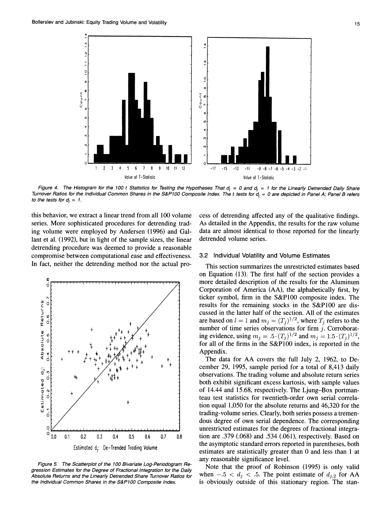

Figure 4. The Histogram for the 100 t Statistics for Testing the Hypotheses That  $d_j = 0$  and  $d_j = 1$  for the Linearly Detrended Daily Share Turnover Ratios for the Individual Common Shares in the S&P100 Composite Index. The t tests for  $d_i = 0$  are depicted in Panel A; Panel B refers to the tests for  $d_i = 1$ .

**this behavior, we extract a linear trend from all 100 volume series. More sophisticated procedures for detrending trading volume were employed by Andersen (1996) and Gallant et al. (1992), but in light of the sample sizes, the linear detrending procedure was deemed to provide a reasonable compromise between computational ease and effectiveness. In fact, neither the detrending method nor the actual pro-** 



**Figure 5. The Scatterplot of the 100 Bivariate Log-Periodogram Regression Estimates for the Degree of Fractional Integration for the Daily Absolute Returns and the Linearly Detrended Share Turnover Ratios for the Individual Common Shares in the S&P100 Composite Index.** 

**cess of detrending affected any of the qualitative findings. As detailed in the Appendix, the results for the raw volume data are almost identical to those reported for the linearly detrended volume series.** 

#### **3.2 Individual Volatility and Volume Estimates**

**This section summarizes the unrestricted estimates based on Equation (13). The first half of the section provides a more detailed description of the results for the Aluminum Corporation of America (AA), the alphabetically first, by ticker symbol, firm in the S&P100 composite index. The results for the remaining stocks in the S&P100 are discussed in the latter half of the section. All of the estimates**  are based on  $l = 1$  and  $m_j = (T_j)^{1/2}$ , where  $T_j$  refers to the number of time series observations for firm j. Corroborat**ing evidence, using**  $m_j = .5 \cdot (T_j)^{1/2}$  **and**  $m_j = 1.5 \cdot (T_j)^{1/2}$ **,** for all of the firms in the S&P100 index, is reported in the **Appendix.** 

**The data for AA covers the full July 2, 1962, to December 29, 1995, sample period for a total of 8,413 daily observations. The trading volume and absolute return series both exhibit significant excess kurtosis, with sample values of 14.44 and 15.68, respectively. The Ljung-Box portmanteau test statistics for twentieth-order own serial correlation equal 1,050 for the absolute returns and 46,320 for the trading-volume series. Clearly, both series possess a tremendous degree of own serial dependence. The corresponding unrestricted estimates for the degrees of fractional integration are .379 (.068) and .534 (.061), respectively. Based on the asymptotic standard errors reported in parentheses, both estimates are statistically greater than 0 and less than 1 at any reasonable significance level.** 

**Note that the proof of Robinson (1995) is only valid**  when  $-0.5 < d_i < 0.5$ . The point estimate of  $d_{j,2}$  for AA **is obviously outside of this stationary region. The stan-**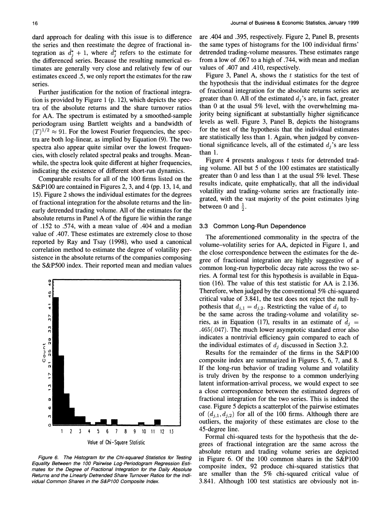**dard approach for dealing with this issue is to difference the series and then reestimate the degree of fractional integration as**  $d_i^* + 1$ **, where**  $\hat{d}_i^*$  **refers to the estimate for the differenced series. Because the resulting numerical estimates are generally very close and relatively few of our estimates exceed .5, we only report the estimates for the raw series.** 

**Further justification for the notion of fractional integration is provided by Figure 1 (p. 12), which depicts the spectra of the absolute returns and the share turnover ratios for AA. The spectrum is estimated by a smoothed-sample periodogram using Bartlett weights and a bandwidth of**   $(T)^{1/2} \approx 91$ . For the lowest Fourier frequencies, the spec**tra are both log-linear, as implied by Equation (9). The two spectra also appear quite similar over the lowest frequencies, with closely related spectral peaks and troughs. Meanwhile, the spectra look quite different at higher frequencies, indicating the existence of different short-run dynamics.** 

**Comparable results for all of the 100 firms listed on the S&P100 are contained in Figures 2, 3, and 4 (pp. 13, 14, and 15). Figure 2 shows the individual estimates for the degrees of fractional integration for the absolute returns and the linearly detrended trading volume. All of the estimates for the absolute returns in Panel A of the figure lie within the range of .152 to .574, with a mean value of .404 and a median value of .407. These estimates are extremely close to those reported by Ray and Tsay (1998), who used a canonical correlation method to estimate the degree of volatility persistence in the absolute returns of the companies composing the S&P500 index. Their reported mean and median values** 



**Figure 6. The Histogram for the Chi-squared Statistics for Testing Equality Between the 100 Pairwise Log-Periodogram Regression Esti-Returns and the Linearly Detrended Share Turnover Ratios for the Individual Common Shares in the S&P100 Composite Index.** 

**are .404 and .395, respectively. Figure 2, Panel B, presents the same types of histograms for the 100 individual firms' detrended trading-volume measures. These estimates range from a low of .067 to a high of .744, with mean and median values of .407 and .410, respectively.** 

Figure 3, Panel A, shows the t statistics for the test of **the hypothesis that the individual estimates for the degree of fractional integration for the absolute returns series are**  greater than 0. All of the estimated  $d_i$ 's are, in fact, greater **than 0 at the usual 5% level, with the overwhelming majority being significant at substantially higher significance levels as well. Figure 3, Panel B, depicts the histograms for the test of the hypothesis that the individual estimates are statistically less than 1. Again, when judged by conven**tional significance levels, all of the estimated  $d_j$ 's are less **than 1.** 

**Figure 4 presents analogous t tests for detrended trading volume. All but 5 of the 100 estimates are statistically greater than 0 and less than 1 at the usual 5% level. These results indicate, quite emphatically, that all the individual volatility and trading-volume series are fractionally integrated, with the vast majority of the point estimates lying**  between 0 and  $\frac{1}{2}$ .

#### **3.3 Common Long-Run Dependence**

**The aforementioned commonality in the spectra of the volume-volatility series for AA, depicted in Figure 1, and the close correspondence between the estimates for the degree of fractional integration are highly suggestive of a common long-run hyperbolic decay rate across the two series. A formal test for this hypothesis is available in Equation (16). The value of this test statistic for AA is 2.136. Therefore, when judged by the conventional 5% chi-squared critical value of 3.841, the test does not reject the null hy**pothesis that  $d_{j,1} = d_{j,2}$ . Restricting the value of  $d_j$  to **be the same across the trading-volume and volatility se**ries, as in Equation (17), results in an estimate of  $d_i =$ **.465(.047). The much lower asymptotic standard error also indicates a nontrivial efficiency gain compared to each of**  the individual estimates of  $d_i$  discussed in Section 3.2.

**Results for the remainder of the firms in the S&P100 composite index are summarized in Figures 5, 6, 7, and 8. If the long-run behavior of trading volume and volatility is truly driven by the response to a common underlying latent information-arrival process, we would expect to see a close correspondence between the estimated degrees of fractional integration for the two series. This is indeed the case. Figure 5 depicts a scatterplot of the pairwise estimates**  of  $(d_{j,1}, d_{j,2})$  for all of the 100 firms. Although there are **outliers, the majority of these estimates are close to the 45-degree line.** 

**Formal chi-squared tests for the hypothesis that the degrees of fractional integration are the same across the absolute return and trading volume series are depicted in Figure 6. Of the 100 common shares in the S&P100 composite index, 92 produce chi-squared statistics that are smaller than the 5% chi-squared critical value of 3.841. Although 100 test statistics are obviously not in-**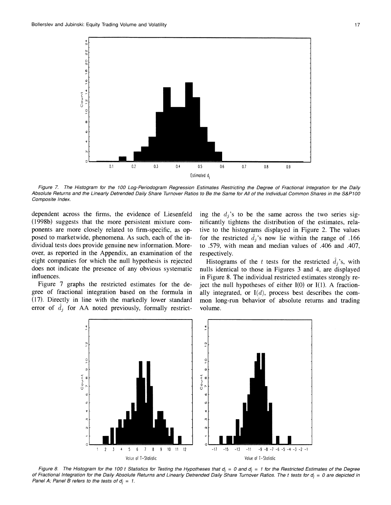

**Figure 7. The Histogram for the 100 Log-Periodogram Regression Estimates Restricting the Degree of Fractional Integration for the Daily Absolute Returns and the Linearly Detrended Daily Share Turnover Ratios to Be the Same for All of the Individual Common Shares in the S&P100 Composite Index.** 

**dependent across the firms, the evidence of Liesenfeld (1998b) suggests that the more persistent mixture components are more closely related to firm-specific, as opposed to marketwide, phenomena. As such, each of the individual tests does provide genuine new information. Moreover, as reported in the Appendix, an examination of the eight companies for which the null hypothesis is rejected does not indicate the presence of any obvious systematic influences.** 

**Figure 7 graphs the restricted estimates for the degree of fractional integration based on the formula in (17). Directly in line with the markedly lower standard**  error of  $d_j$  for AA noted previously, formally restricting the  $d_i$ 's to be the same across the two series sig**nificantly tightens the distribution of the estimates, relative to the histograms displayed in Figure 2. The values**  for the restricted  $\hat{d}_i$ 's now lie within the range of .166 **to .579, with mean and median values of .406 and .407, respectively.** 

**Histograms of the t tests for the restricted**  $\hat{d}_i$ **'s, with nulls identical to those in Figures 3 and 4, are displayed in Figure 8. The individual restricted estimates strongly reject the null hypotheses of either I(0) or I(1). A fractionally integrated, or I(d), process best describes the common long-run behavior of absolute returns and trading volume.** 



Figure 8. The Histogram for the 100 t Statistics for Testing the Hypotheses that  $d_j = 0$  and  $d_j = 1$  for the Restricted Estimates of the Degree **of Fractional Integration for the Daily Absolute Returns and Linearly Detrended Daily Share Turnover Ratios. The t tests for d, = 0 are depicted in**  Panel A; Panel B refers to the tests of  $d_i = 1$ .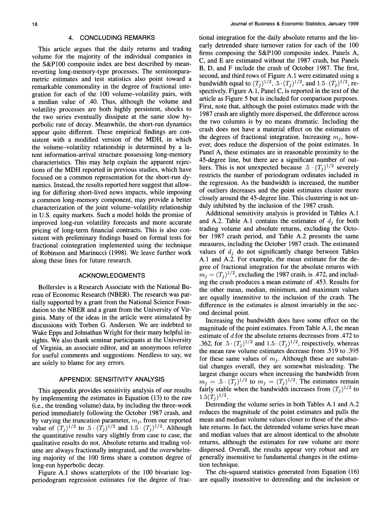#### **4. CONCLUDING REMARKS**

**This article argues that the daily returns and trading volume for the majority of the individual companies in the S&P100 composite index are best described by meanreverting long-memory-type processes. The seminonparametric estimates and test statistics also point toward a remarkable commonality in the degree of fractional integration for each of the 100 volume-volatility pairs, with a median value of .40. Thus, although the volume and volatility processes are both highly persistent, shocks to the two series eventually dissipate at the same slow hyperbolic rate of decay. Meanwhile, the short-run dynamics appear quite different. These empirical findings are consistent with a modified version of the MDH, in which the volume-volatility relationship is determined by a latent information-arrival structure possessing long-memory characteristics. This may help explain the apparent rejections of the MDH reported in previous studies, which have focused on a common representation for the short-run dynamics. Instead, the results reported here suggest that allowing for differing short-lived news impacts, while imposing a common long-memory component, may provide a better characterization of the joint volume-volatility relationship in U.S. equity markets. Such a model holds the promise of improved long-run volatility forecasts and more accurate pricing of long-term financial contracts. This is also consistent with preliminary findings based on formal tests for fractional cointegration implemented using the technique of Robinson and Marinucci (1998). We leave further work along these lines for future research.** 

### **ACKNOWLEDGMENTS**

**Bollerslev is a Research Associate with the National Bureau of Economic Research (NBER). The research was partially supported by a grant from the National Science Foundation to the NBER and a grant from the University of Virginia. Many of the ideas in the article were stimulated by discussions with Torben G. Andersen. We are indebted to Wake Epps and Johnathan Wright for their many helpful insights. We also thank seminar participants at the University of Virginia, an associate editor, and an anonymous referee for useful comments and suggestions. Needless to say, we are solely to blame for any errors.** 

### **APPENDIX: SENSITIVITY ANALYSIS**

**This appendix provides sensitivity analysis of our results by implementing the estimates in Equation (13) to the raw (i.e., the trending volume) data, by including the three-week period immediately following the October 1987 crash, and**  by varying the truncation parameter,  $m_j$ , from our reported **value of**  $(T_j)^{1/2}$  **to**  $.5 \cdot (T_j)^{1/2}$  **and**  $1.5 \cdot (T_j)^{1/2}$ . **Although the quantitative results vary slightly from case to case, the qualitative results do not. Absolute returns and trading volume are always fractionally integrated, and the overwhelming majority of the 100 firms share a common degree of long-run hyperbolic decay.** 

**Figure A.1 shows scatterplots of the 100 bivariate logperiodogram regression estimates for the degree of frac-**

**tional integration for the daily absolute returns and the linearly detrended share turnover ratios for each of the 100 firms composing the S&P100 composite index. Panels A, C, and E are estimated without the 1987 crash, but Panels B, D, and F include the crash of October 1987. The first, second, and third rows of Figure A. 1 were estimated using a bandwidth equal to**  $(T_i)^{1/2}$ ,  $.5 \cdot (T_i)^{1/2}$ , and  $1.5 \cdot (T_i)^{1/2}$ , re**spectively. Figure A. 1, Panel C, is reported in the text of the article as Figure 5 but is included for comparison purposes. First, note that, although the point estimates made with the 1987 crash are slightly more dispersed, the difference across the two columns is by no means dramatic. Including the crash does not have a material effect on the estimates of**  the degrees of fractional integration. Increasing  $m_j$ , how**ever, does reduce the dispersion of the point estimates. In Panel A, these estimates are in reasonable proximity to the 45-degree line, but there are a significant number of outliers.** This is not unexpected because  $.5 \cdot (T_j)^{1/2}$  severely **restricts the number of periodogram ordinates included in the regression. As the bandwidth is increased, the number of outliers decreases and the point estimates cluster more closely around the 45-degree line. This clustering is not unduly inhibited by the inclusion of the 1987 crash.** 

**Additional sensitivity analysis is provided in Tables A.1**  and A.2. Table A.1 contains the estimates of  $d_i$  for both **trading volume and absolute returns, excluding the October 1987 crash period, and Table A.2 presents the same measures, including the October 1987 crash. The estimated**  values of  $d_i$  do not significantly change between Tables **A.1 and A.2. For example, the mean estimate for the degree of fractional integration for the absolute returns with**   $m_i = (T_i)^{1/2}$ , excluding the 1987 crash, is .472, and includ**ing the crash produces a mean estimate of .453. Results for the other mean, median, minimum, and maximum values are equally insensitive to the inclusion of the crash. The difference in the estimates is almost invariably in the second decimal point.** 

**Increasing the bandwidth does have some effect on the magnitude of the point estimates. From Table A. 1, the mean estimate of d for the absolute returns decreases from .472 to .362, for**  $.5 \cdot (T_j)^{1/2}$  and  $1.5 \cdot (T_j)^{1/2}$ , respectively, whereas **the mean raw volume estimates decrease from .519 to .395**  for these same values of  $m_i$ . Although these are substan**tial changes overall, they are somewhat misleading. The largest change occurs when increasing the bandwidth from**   $m_j = 0.5 \cdot (T_j)^{1/2}$  to  $m_j = (T_j)^{1/2}$ . The estimates remain **fairly stable when the bandwidth increases from**  $(T_i)^{1/2}$  **to**  $1.5(T_i)^{1/2}$ .

**Detrending the volume series in both Tables A.1 and A.2 reduces the magnitude of the point estimates and pulls the mean and median volume values closer to those of the absolute returns. In fact, the detrended volume series have mean and median values that are almost identical to the absolute returns, although the estimates for raw volume are more dispersed. Overall, the results appear very robust and are generally insensitive to fundamental changes in the estimation technique.** 

**The chi-squared statistics generated from Equation (16) are equally insensitive to detrending and the inclusion or**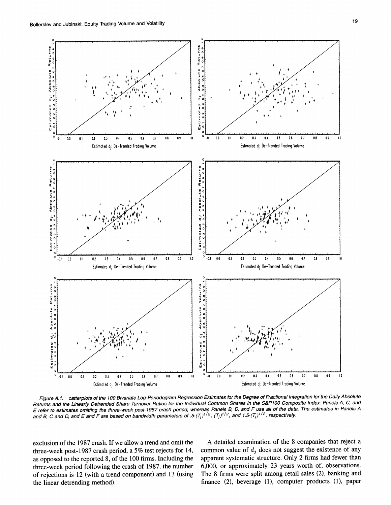

Figure A.1. catterplots of the 100 Bivariate Log-Periodogram Hegression Estimates for the Degree of Fractional integration for the Daily Absolute<br>Returns and the Linearly Detrended Share Turnover Ratios for the Individual **E refer to estimates omitting the three-week post-1987 crash period, whereas Panels B, D, and F use all of the data. The estimates in Panels A**  and B, C and D, and E and F are based on bandwidth parameters of  $.5(T_j)^{1/2}$ ,  $(T_j)^{1/2}$ , and  $1.5(T_j)^{1/2}$ , respectively.

**exclusion of the 1987 crash. If we allow a trend and omit the three-week post-1987 crash period, a 5% test rejects for 14, as opposed to the reported 8, of the 100 firms. Including the three-week period following the crash of 1987, the number of rejections is 12 (with a trend component) and 13 (using the linear detrending method).** 

**A detailed examination of the 8 companies that reject a**  common value of  $d_i$  does not suggest the existence of any **apparent systematic structure. Only 2 firms had fewer than 6,000, or approximately 23 years worth of, observations. The 8 firms were split among retail sales (2), banking and finance (2), beverage (1), computer products (1), paper**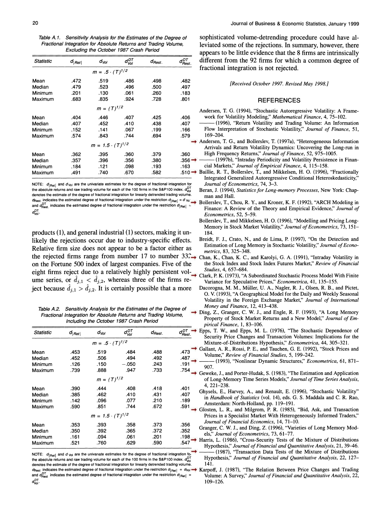**Table A. 1. Sensitivity Analysis for the Estimates of the Degree of Fractional Integration for Absolute Returns and Trading Volume, Excluding the October 1987 Crash Period** 

| Statistic | $d_{ Ret }$ | d <sub>Vol</sub>          | $d_{\mathit{Vol}}^{D{\mathcal T}}$ | $d_{\mathit{Best}}$ . | $d_{\mathit{Rest.}}^{\mathit{DT}}$ |
|-----------|-------------|---------------------------|------------------------------------|-----------------------|------------------------------------|
|           |             | $m = .5 \cdot (T)^{1/2}$  |                                    |                       |                                    |
| Mean      | .472        | .519                      | .486                               | .498                  | .482                               |
| Median    | .479        | .523                      | .496                               | .500                  | .497                               |
| Minimum   | .201        | .130                      | .061                               | .260                  | .183                               |
| Maximum   | .683        | .835                      | .924                               | .728                  | .801                               |
|           |             | $m = (T)^{1/2}$           |                                    |                       |                                    |
| Mean      | .404        | .446                      | .407                               | .425                  | .406                               |
| Median    | .407        | .452                      | .410                               | .438                  | .407                               |
| Minimum   | .152        | .141                      | .067                               | .199                  | .166                               |
| Maximum   | .574        | .843                      | .744                               | .694                  | .579                               |
|           |             | $m = 1.5 \cdot (T)^{1/2}$ |                                    |                       |                                    |
| Mean      | .362        | .395                      | .360                               | .379                  | .360                               |
| Median    | .357        | .396                      | .356                               | .380                  | .356                               |
| Minimum   | .184        | .121                      | .098                               | .193                  | .163                               |
| Maximum   | .491        | .740                      | .670                               | .582                  | .510                               |

**NOTE:**  $d_{\text{[Ret]}}$  and  $d_{\text{Vol}}$  are the univariate estimates for the degree of fractional integration for the absolute returns and raw trading volume for each of the 100 firms in the S&P100 index.  $d_{\rm V_0}^{\rm O1}$ **denotes the estimate of the degree of fractional integration for linearly detrended trading volume.**  denotes the estimate of the degree of fractional integration for linearly detrended trading volume. **In an and Hall.**<br>@ dest. protectes the estimated degree of fractional integration under the restriction d<sub>iesti,</sub> and vol **and**  $\sigma_{\text{Rest.}}^{\text{DT}}$  indicates the estimated degree of fractional integration under the restriction  $d_{|\text{Ret}|}$   $\sigma_{\text{Vol}}^{\text{DT}}$ .

**products (1), and general industrial (1) sectors, making it unlikely the rejections occur due to industry-specific effects. Relative firm size does not appear to be a factor either as**  the rejected firms range from number 17 to number 33<sup>2</sup> Chan, K., Chan, K. C., and Karolyi, G. A. (1991), "Intraday Volatility in **on the Fortune 500 index of largest companies. Five of the**  eight firms reject due to a relatively highly persistent vol-<br>Clark, P. K. (1973). "A ume series, or  $d_{j,1} < d_{j,2}$ , whereas three of the firms reject because  $\hat{d}_{j,1} > \hat{d}_{j,2}$ . It is certainly possible that a more

**Table A.2. Sensitivity Analysis for the Estimates of the Degree of Fractional Integration for Absolute Returns and Trading Volume, Including the October 1987 Crash Period** 

| Statistic | $d_{ Ret }$ | d <sub>Vol</sub>          | dui<br>Vol | $d_{\mathit{Rest}}$ | $d_{Rest}^{DT}$ |
|-----------|-------------|---------------------------|------------|---------------------|-----------------|
|           |             | $m = .5 \cdot (T)^{1/2}$  |            |                     |                 |
| Mean      | .453        | .519                      | .484       | .488                | .473            |
| Median    | .452        | .506                      | .494       | .492                | .487            |
| Minimum   | .126        | .150                      | $-.050$    | .243                | .191            |
| Maximum   | .739        | .888                      | .947       | .733                | .754            |
|           |             | $m = (T)^{1/2}$           |            |                     |                 |
| Mean      | .390        | .444                      | .408       | .418                | .401            |
| Median    | .385        | .462                      | .410       | .431                | .407            |
| Minimum   | .142        | .096                      | .077       | .210                | .189            |
| Maximum   | .590        | .851                      | .744       | .672                | .591            |
|           |             | $m = 1.5 \cdot (T)^{1/2}$ |            |                     |                 |
| Mean      | .353        | .393                      | .358       | .373                | .356            |
| Median    | .350        | .392                      | .365       | .372                | .352            |
| Minimum   | .161        | .094                      | .061       | .201                | .198            |
| Maximum   | .521        | .760                      | .629       | .590                | .547            |

**NOTE:**  $d_{\text{[Ret]}}$  and  $d_{\text{Vol}}$  are the univariate estimates for the degree of fractional integration for the absolute returns and raw trading volume for each of the 100 firms in the S&P100 index.  $d_{\text{V}_0}^{\text{D1}}$ **denotes the estimate of the degree of fractional integration for linearly detrended trading volume.**   $d_{\text{Rest}}$  indicates the estimated degree of fractional integration under the restriction  $d_{|\text{Ret}|} = d_{\text{Vol}}$ . and  $d_{\text{Best}}^{DT}$  indicates the estimated degree of fractional integration under the restriction  $d_{\text{Ret}}$ **DT dvoi.?** 

**sophisticated volume-detrending procedure could have alleviated some of the rejections. In summary, however, there appears to be little evidence that the 8 firms are intrinsically different from the 92 firms for which a common degree of fractional integration is not rejected.** 

**[Received October 1997. Revised May 1998.]** 

#### **REFERENCES**

- **Andersen, T. G. (1994), "Stochastic Autoregressive Volatility: A Framework for Volatility Modeling," Mathematical Finance, 4, 75-102.**
- (1996), "Return Volatility and Trading Volume: An Information **Flow Interpretation of Stochastic Volatility," Journal of Finance, 51, 169-204.**
- **Andersen, T. G., and Bollerslev, T. (1997a), "Heterogeneous Information Arrivals and Return Volatility Dynamics: Uncovering the Long-run in High Frequency Returns," Journal of Finance, 52, 975-1005.**
- **(1997b), "Intraday Periodicity and Volatility Persistence in Financial Markets," Journal of Empirical Finance, 4, 115-158.**
- **Baillie, R. T., Bollerslev, T., and Mikkelsen, H. 0. (1996), "Fractionally Integrated Generalized Autoregressive Conditional Heteroskedasticity," Journal of Econometrics, 74, 3-3.** 
	- **Beran, J. (1994), Statistics for Long-memory Processes, New York: Chap-**
	- **Bollerslev, T., Chou, R. Y., and Kroner, K. F. (1992), "ARCH Modeling in Finance: A Review of the Theory and Empirical Evidence," Journal of Econometrics, 52, 5-59.**
	- **Bollerslev, T., and Mikkelsen, H. 0. (1996), "Modelling and Pricing Long-Memory in Stock Market Volatility," Journal of Econometrics, 73, 151- 184.**
	- **Breidt, F. J., Crato, N., and de Lima, P. (1997), "On the Detection and Estimation of Long Memory in Stochastic Volatility," Journal of Econometrics, 83, 325-348.**
- **the Stock Index and Stock Index Futures Market," Review of Financial**
- **Clark, P. K. (1973), "A Subordinated Stochastic Process Model With Finite Variance for Speculative Prices," Econometrica, 41, 135-155.**
- **Dacorogna, M. M., Miiller, U. A., Nagler, R. J., Olsen, R. B., and Pictet, O. V. (1993), "A Geographical Model for the Daily and Weekly Seasonal Volatility in the Foreign Exchange Market," Journal of International Money and Finance, 12, 413-438.**
- **Ding, Z., Granger, C. W. J., and Engle, R. F. (1993), "A Long Memory Property of Stock Market Returns and a New Model," Journal of Empirical Finance, 1, 83-106.**
- **Epps, T. W., and Epps, M. L. (1976), "The Stochastic Dependence of Security Price Changes and Transaction Volumes: Implications for the Mixture-of-Distributions Hypothesis," Econometrica, 44, 305-321.**
- **Gallant, A. R., Rossi, P. E., and Tauchen, G. E. (1992), "Stock Prices and Volume," Review of Financial Studies, 5, 199-242.**
- **(1993), "Nonlinear Dynamic Structures," Econometrica, 61, 871- 907.**
- **Geweke, J., and Porter-Hudak, S.(1983), "The Estimation and Application of Long-Memory Time Series Models," Journal of Time Series Analysis, 4, 221-238.**
- **Ghysels, E., Harvey, A., and Renault, E. (1996), "Stochastic Volatility" in Handbook of Statistics (vol. 14), eds. G. S. Maddala and C. R. Rao, Amsterdam: North-Holland, pp. 119-191.**
- **Glosten, L. R., and Milgrom, P. R. (1985), "Bid, Ask, and Transaction Prices in a Specialist Market With Heterogeneously Informed Traders," Journal of Financial Economics, 14, 71-10.**
- **Granger, C. W. J., and Ding, Z. (1996), "Varieties of Long Memory Models," Journal of Econometrics, 73, 61-77.**
- **Harris, L. (1986), "Cross-Security Tests of the Mixture of Distributions**  Hypothesis," Journal of Financial and Quantitative Analysis, 21, 39-46.
	- **(1987), "Transaction Data Tests of the Mixture of Distributions Hypothesis," Journal of Financial and Quantitative Analysis, 22, 127- 141.**
- **Karpoff, J. (1987), "The Relation Between Price Changes and Trading Volume: A Survey," Journal of Financial and Quantitative Analysis, 22, 109-126.**